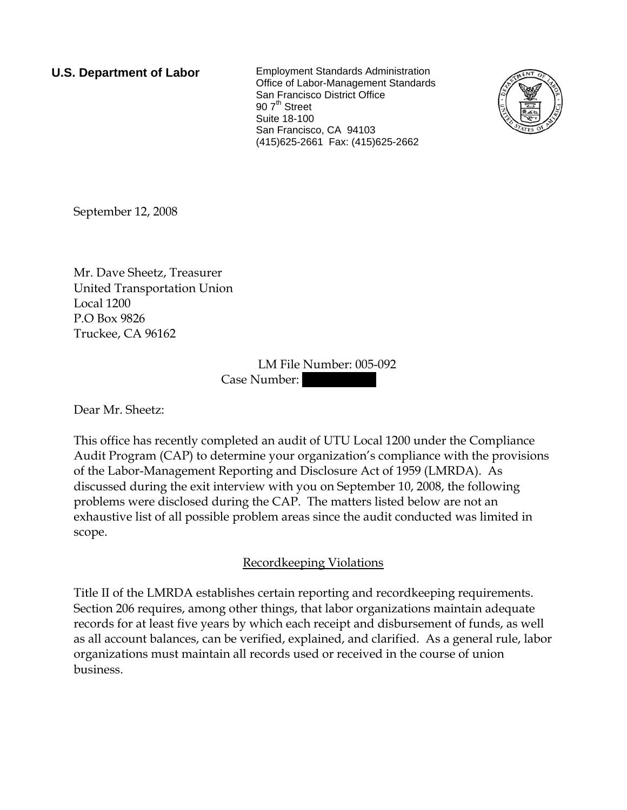**U.S. Department of Labor** Employment Standards Administration Office of Labor-Management Standards San Francisco District Office  $907<sup>th</sup>$  Street Suite 18-100 San Francisco, CA 94103 (415)625-2661 Fax: (415)625-2662



September 12, 2008

Mr. Dave Sheetz, Treasurer United Transportation Union Local 1200 P.O Box 9826 Truckee, CA 96162

> LM File Number: 005-092 Case Number:

Dear Mr. Sheetz:

This office has recently completed an audit of UTU Local 1200 under the Compliance Audit Program (CAP) to determine your organization's compliance with the provisions of the Labor-Management Reporting and Disclosure Act of 1959 (LMRDA). As discussed during the exit interview with you on September 10, 2008, the following problems were disclosed during the CAP. The matters listed below are not an exhaustive list of all possible problem areas since the audit conducted was limited in scope.

## Recordkeeping Violations

Title II of the LMRDA establishes certain reporting and recordkeeping requirements. Section 206 requires, among other things, that labor organizations maintain adequate records for at least five years by which each receipt and disbursement of funds, as well as all account balances, can be verified, explained, and clarified. As a general rule, labor organizations must maintain all records used or received in the course of union business.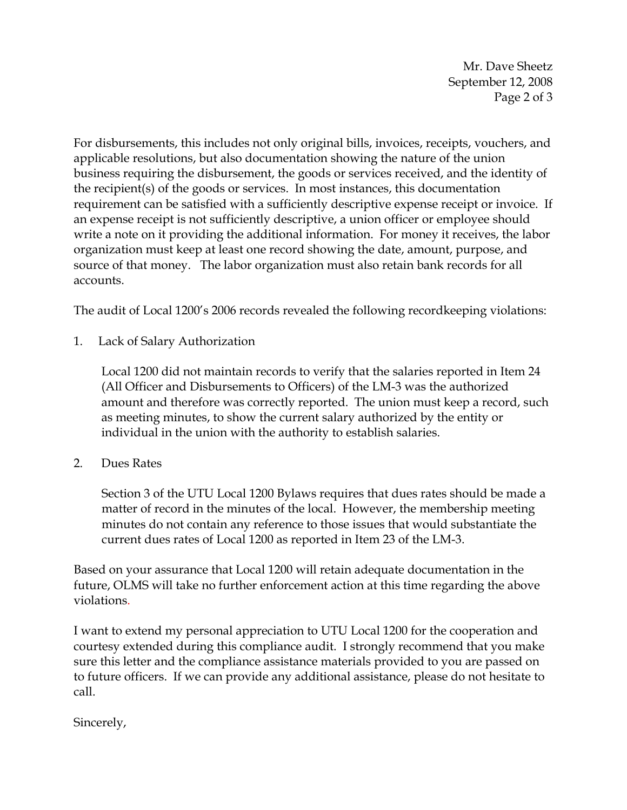Mr. Dave Sheetz September 12, 2008 Page 2 of 3

For disbursements, this includes not only original bills, invoices, receipts, vouchers, and applicable resolutions, but also documentation showing the nature of the union business requiring the disbursement, the goods or services received, and the identity of the recipient(s) of the goods or services. In most instances, this documentation requirement can be satisfied with a sufficiently descriptive expense receipt or invoice. If an expense receipt is not sufficiently descriptive, a union officer or employee should write a note on it providing the additional information. For money it receives, the labor organization must keep at least one record showing the date, amount, purpose, and source of that money. The labor organization must also retain bank records for all accounts.

The audit of Local 1200's 2006 records revealed the following recordkeeping violations:

1. Lack of Salary Authorization

Local 1200 did not maintain records to verify that the salaries reported in Item 24 (All Officer and Disbursements to Officers) of the LM-3 was the authorized amount and therefore was correctly reported. The union must keep a record, such as meeting minutes, to show the current salary authorized by the entity or individual in the union with the authority to establish salaries.

2. Dues Rates

Section 3 of the UTU Local 1200 Bylaws requires that dues rates should be made a matter of record in the minutes of the local. However, the membership meeting minutes do not contain any reference to those issues that would substantiate the current dues rates of Local 1200 as reported in Item 23 of the LM-3.

Based on your assurance that Local 1200 will retain adequate documentation in the future, OLMS will take no further enforcement action at this time regarding the above violations.

I want to extend my personal appreciation to UTU Local 1200 for the cooperation and courtesy extended during this compliance audit. I strongly recommend that you make sure this letter and the compliance assistance materials provided to you are passed on to future officers. If we can provide any additional assistance, please do not hesitate to call.

Sincerely,